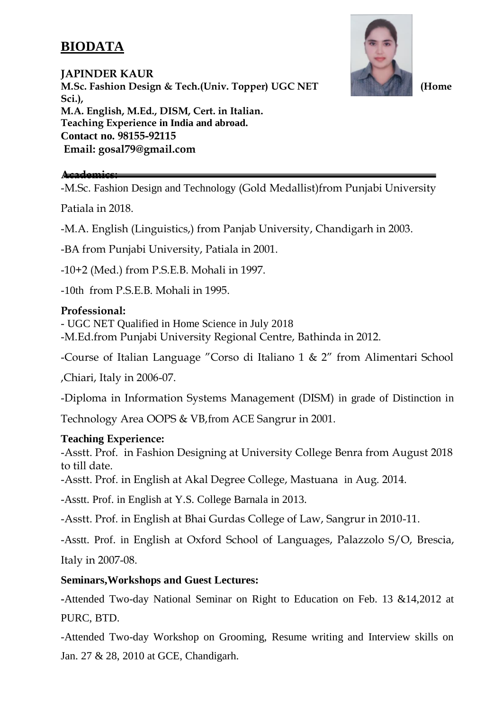# **BIODATA**



**JAPINDER KAUR M.Sc. Fashion Design & Tech.(Univ. Topper) UGC NET (Home Sci.), M.A. English, M.Ed., DISM, Cert. in Italian. Teaching Experience in India and abroad. Contact no. 98155-92115 Email: gosal79@gmail.com**

### **Academics:**

-M.Sc. Fashion Design and Technology (Gold Medallist)from Punjabi University

Patiala in 2018.

-M.A. English (Linguistics,) from Panjab University, Chandigarh in 2003.

-BA from Punjabi University, Patiala in 2001.

-10+2 (Med.) from P.S.E.B. Mohali in 1997.

-10th from P.S.E.B. Mohali in 1995.

## **Professional:**

- UGC NET Qualified in Home Science in July 2018 -M.Ed.from Punjabi University Regional Centre, Bathinda in 2012.

-Course of Italian Language "Corso di Italiano 1 & 2" from Alimentari School

,Chiari, Italy in 2006-07.

-Diploma in Information Systems Management (DISM) in grade of Distinction in

Technology Area OOPS & VB,from ACE Sangrur in 2001.

## **Teaching Experience:**

-Asstt. Prof. in Fashion Designing at University College Benra from August 2018 to till date.

-Asstt. Prof. in English at Akal Degree College, Mastuana in Aug. 2014.

-Asstt. Prof. in English at Y.S. College Barnala in 2013.

-Asstt. Prof. in English at Bhai Gurdas College of Law, Sangrur in 2010-11.

-Asstt. Prof. in English at Oxford School of Languages, Palazzolo S/O, Brescia, Italy in 2007-08.

## **Seminars,Workshops and Guest Lectures:**

**-**Attended Two-day National Seminar on Right to Education on Feb. 13 &14,2012 at PURC, BTD.

-Attended Two-day Workshop on Grooming, Resume writing and Interview skills on Jan. 27 & 28, 2010 at GCE, Chandigarh.